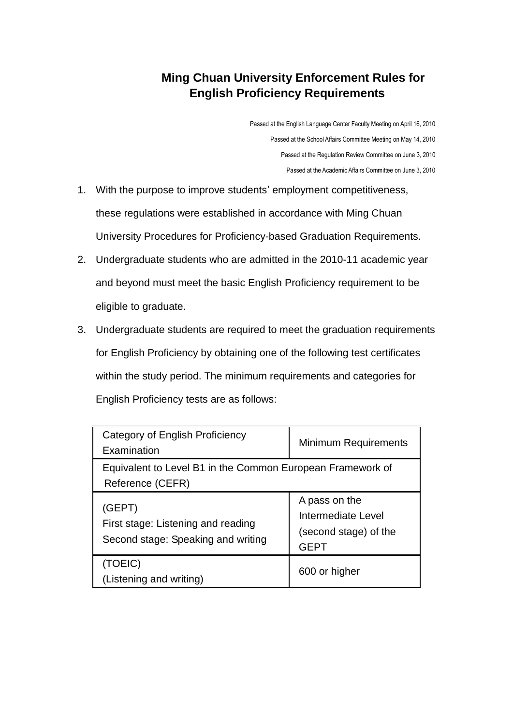## **Ming Chuan University Enforcement Rules for English Proficiency Requirements**

Passed at the English Language Center Faculty Meeting on April 16, 2010 Passed at the School Affairs Committee Meeting on May 14, 2010 Passed at the Regulation Review Committee on June 3, 2010 Passed at the Academic Affairs Committee on June 3, 2010

- 1. With the purpose to improve students' employment competitiveness, these regulations were established in accordance with Ming Chuan University Procedures for Proficiency-based Graduation Requirements.
- 2. Undergraduate students who are admitted in the 2010-11 academic year and beyond must meet the basic English Proficiency requirement to be eligible to graduate.
- 3. Undergraduate students are required to meet the graduation requirements for English Proficiency by obtaining one of the following test certificates within the study period. The minimum requirements and categories for English Proficiency tests are as follows:

| Category of English Proficiency<br>Examination                                     | <b>Minimum Requirements</b>                                                 |
|------------------------------------------------------------------------------------|-----------------------------------------------------------------------------|
| Equivalent to Level B1 in the Common European Framework of<br>Reference (CEFR)     |                                                                             |
| (GEPT)<br>First stage: Listening and reading<br>Second stage: Speaking and writing | A pass on the<br>Intermediate Level<br>(second stage) of the<br><b>GEPT</b> |
| (TOEIC)<br>(Listening and writing)                                                 | 600 or higher                                                               |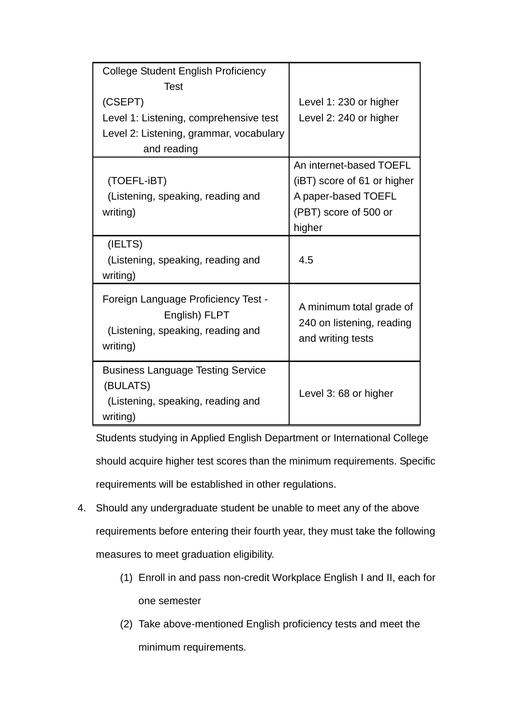| College Student English Proficiency      |                             |
|------------------------------------------|-----------------------------|
| Test                                     |                             |
| (CSEPT)                                  | Level 1: 230 or higher      |
| Level 1: Listening, comprehensive test   | Level 2: 240 or higher      |
| Level 2: Listening, grammar, vocabulary  |                             |
| and reading                              |                             |
|                                          | An internet-based TOEFL     |
| (TOEFL-iBT)                              | (iBT) score of 61 or higher |
| (Listening, speaking, reading and        | A paper-based TOEFL         |
| writing)                                 | (PBT) score of 500 or       |
|                                          | higher                      |
| (IELTS)                                  |                             |
| (Listening, speaking, reading and        | 4.5                         |
| writing)                                 |                             |
| Foreign Language Proficiency Test -      |                             |
| English) FLPT                            | A minimum total grade of    |
| (Listening, speaking, reading and        | 240 on listening, reading   |
| writing)                                 | and writing tests           |
|                                          |                             |
| <b>Business Language Testing Service</b> |                             |
| (BULATS)                                 | Level 3: 68 or higher       |
| (Listening, speaking, reading and        |                             |
| writing)                                 |                             |

Students studying in Applied English Department or International College should acquire higher test scores than the minimum requirements. Specific requirements will be established in other regulations.

- 4. Should any undergraduate student be unable to meet any of the above requirements before entering their fourth year, they must take the following measures to meet graduation eligibility.
	- (1) Enroll in and pass non-credit Workplace English I and II, each for one semester
	- (2) Take above-mentioned English proficiency tests and meet the minimum requirements.